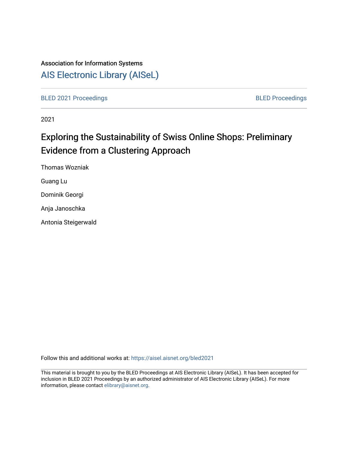## Association for Information Systems

## [AIS Electronic Library \(AISeL\)](https://aisel.aisnet.org/)

[BLED 2021 Proceedings](https://aisel.aisnet.org/bled2021) **BLED Proceedings** 

2021

# Exploring the Sustainability of Swiss Online Shops: Preliminary Evidence from a Clustering Approach

Thomas Wozniak

Guang Lu

Dominik Georgi

Anja Janoschka

Antonia Steigerwald

Follow this and additional works at: [https://aisel.aisnet.org/bled2021](https://aisel.aisnet.org/bled2021?utm_source=aisel.aisnet.org%2Fbled2021%2F20&utm_medium=PDF&utm_campaign=PDFCoverPages) 

This material is brought to you by the BLED Proceedings at AIS Electronic Library (AISeL). It has been accepted for inclusion in BLED 2021 Proceedings by an authorized administrator of AIS Electronic Library (AISeL). For more information, please contact [elibrary@aisnet.org.](mailto:elibrary@aisnet.org%3E)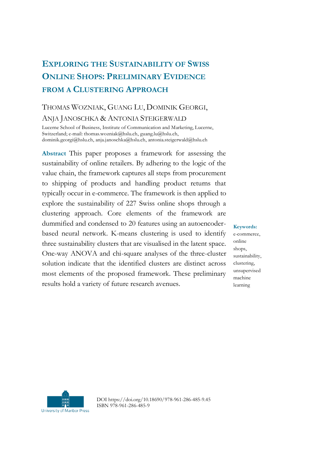## **EXPLORING THE SUSTAINABILITY OF SWISS ONLINE SHOPS: PRELIMINARY EVIDENCE FROM A CLUSTERING APPROACH**

### THOMAS WOZNIAK, GUANG LU, DOMINIK GEORGI, ANJA JANOSCHKA & ANTONIA STEIGERWALD

Lucerne School of Business, Institute of Communication and Marketing, Lucerne, Switzerland; e-mail: thomas.wozniak@hslu.ch, guang.lu@hslu.ch, dominik.georgi@hslu.ch, anja.janoschka@hslu.ch, antonia.steigerwald@hslu.ch

**Abstract** This paper proposes a framework for assessing the sustainability of online retailers. By adhering to the logic of the value chain, the framework captures all steps from procurement to shipping of products and handling product returns that typically occur in e-commerce. The framework is then applied to explore the sustainability of 227 Swiss online shops through a clustering approach. Core elements of the framework are dummified and condensed to 20 features using an autoencoderbased neural network. K-means clustering is used to identify three sustainability clusters that are visualised in the latent space. One-way ANOVA and chi-square analyses of the three-cluster solution indicate that the identified clusters are distinct across most elements of the proposed framework. These preliminary results hold a variety of future research avenues.

**Keywords:**

e-commerce, online shops, sustainability, clustering, unsupervised machine learning



DOI https://doi.org/10.18690/978-961-286-485-9.45 ISBN 978-961-286-485-9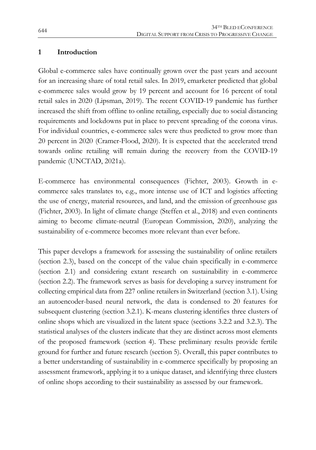#### **1 Introduction**

Global e-commerce sales have continually grown over the past years and account for an increasing share of total retail sales. In 2019, emarketer predicted that global e-commerce sales would grow by 19 percent and account for 16 percent of total retail sales in 2020 (Lipsman, 2019). The recent COVID-19 pandemic has further increased the shift from offline to online retailing, especially due to social distancing requirements and lockdowns put in place to prevent spreading of the corona virus. For individual countries, e-commerce sales were thus predicted to grow more than 20 percent in 2020 (Cramer-Flood, 2020). It is expected that the accelerated trend towards online retailing will remain during the recovery from the COVID-19 pandemic (UNCTAD, 2021a).

E-commerce has environmental consequences (Fichter, 2003). Growth in ecommerce sales translates to, e.g., more intense use of ICT and logistics affecting the use of energy, material resources, and land, and the emission of greenhouse gas (Fichter, 2003). In light of climate change (Steffen et al., 2018) and even continents aiming to become climate-neutral (European Commission, 2020), analyzing the sustainability of e-commerce becomes more relevant than ever before.

This paper develops a framework for assessing the sustainability of online retailers (section 2.3), based on the concept of the value chain specifically in e-commerce (section 2.1) and considering extant research on sustainability in e-commerce (section 2.2). The framework serves as basis for developing a survey instrument for collecting empirical data from 227 online retailers in Switzerland (section 3.1). Using an autoencoder-based neural network, the data is condensed to 20 features for subsequent clustering (section 3.2.1). K-means clustering identifies three clusters of online shops which are visualized in the latent space (sections 3.2.2 and 3.2.3). The statistical analyses of the clusters indicate that they are distinct across most elements of the proposed framework (section 4). These preliminary results provide fertile ground for further and future research (section 5). Overall, this paper contributes to a better understanding of sustainability in e-commerce specifically by proposing an assessment framework, applying it to a unique dataset, and identifying three clusters of online shops according to their sustainability as assessed by our framework.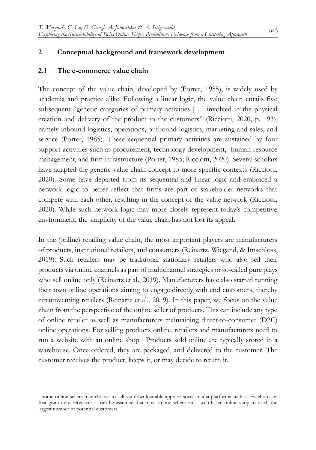#### **2 Conceptual background and framework development**

#### **2.1 The e-commerce value chain**

1

The concept of the value chain, developed by (Porter, 1985), is widely used by academia and practice alike. Following a linear logic, the value chain entails five subsequent "generic categories of primary activities […] involved in the physical creation and delivery of the product to the customers" (Ricciotti, 2020, p. 193), namely inbound logistics, operations, outbound logistics, marketing and sales, and service (Porter, 1985). These sequential primary activities are sustained by four support activities such as procurement, technology development, human resource management, and firm infrastructure (Porter, 1985; Ricciotti, 2020). Several scholars have adapted the generic value chain concept to more specific contexts (Ricciotti, 2020). Some have departed from its sequential and linear logic and embraced a network logic to better reflect that firms are part of stakeholder networks that compete with each other, resulting in the concept of the value network (Ricciotti, 2020). While such network logic may more closely represent today's competitive environment, the simplicity of the value chain has not lost its appeal.

In the (online) retailing value chain, the most important players are manufacturers of products, institutional retailers, and consumers (Reinartz, Wiegand, & Imschloss, 2019). Such retailers may be traditional stationary retailers who also sell their products via online channels as part of multichannel strategies or so-called pure plays who sell online only (Reinartz et al., 2019). Manufacturers have also started running their own online operations aiming to engage directly with end customers, thereby circumventing retailers (Reinartz et al., 2019). In this paper, we focus on the value chain from the perspective of the online seller of products. This can include any type of online retailer as well as manufacturers maintaining direct-to-consumer (D2C) online operations. For selling products online, retailers and manufacturers need to run a website with an online shop.<sup>1</sup> Products sold online are typically stored in a warehouse. Once ordered, they are packaged, and delivered to the customer. The customer receives the product, keeps it, or may decide to return it.

<sup>1</sup> Some online sellers may choose to sell via downloadable apps or social media platforms such as Facebook or Instagram only. However, it can be assumed that most online sellers run a web-based online shop to reach the largest number of potential customers.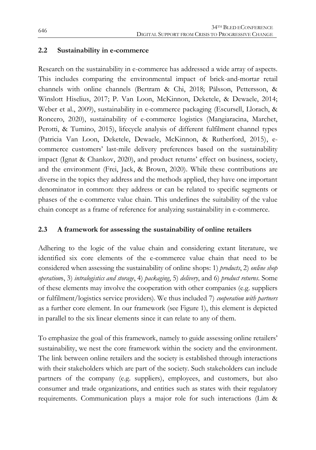#### **2.2 Sustainability in e-commerce**

Research on the sustainability in e-commerce has addressed a wide array of aspects. This includes comparing the environmental impact of brick-and-mortar retail channels with online channels (Bertram & Chi, 2018; Pålsson, Pettersson, & Winslott Hiselius, 2017; P. Van Loon, McKinnon, Deketele, & Dewaele, 2014; Weber et al., 2009), sustainability in e-commerce packaging (Escursell, Llorach, & Roncero, 2020), sustainability of e-commerce logistics (Mangiaracina, Marchet, Perotti, & Tumino, 2015), lifecycle analysis of different fulfilment channel types (Patricia Van Loon, Deketele, Dewaele, McKinnon, & Rutherford, 2015), ecommerce customers' last-mile delivery preferences based on the sustainability impact (Ignat & Chankov, 2020), and product returns' effect on business, society, and the environment (Frei, Jack, & Brown, 2020). While these contributions are diverse in the topics they address and the methods applied, they have one important denominator in common: they address or can be related to specific segments or phases of the e-commerce value chain. This underlines the suitability of the value chain concept as a frame of reference for analyzing sustainability in e-commerce.

#### **2.3 A framework for assessing the sustainability of online retailers**

Adhering to the logic of the value chain and considering extant literature, we identified six core elements of the e-commerce value chain that need to be considered when assessing the sustainability of online shops: 1) *products*, 2) *online shop operation*s, 3) *intralogistics and storage*, 4) *packaging*, 5) *delivery*, and 6) *product returns*. Some of these elements may involve the cooperation with other companies (e.g. suppliers or fulfilment/logistics service providers). We thus included 7) *cooperation with partners* as a further core element. In our framework (see Figure 1), this element is depicted in parallel to the six linear elements since it can relate to any of them.

To emphasize the goal of this framework, namely to guide assessing online retailers' sustainability, we nest the core framework within the society and the environment. The link between online retailers and the society is established through interactions with their stakeholders which are part of the society. Such stakeholders can include partners of the company (e.g. suppliers), employees, and customers, but also consumer and trade organizations, and entities such as states with their regulatory requirements. Communication plays a major role for such interactions (Lim &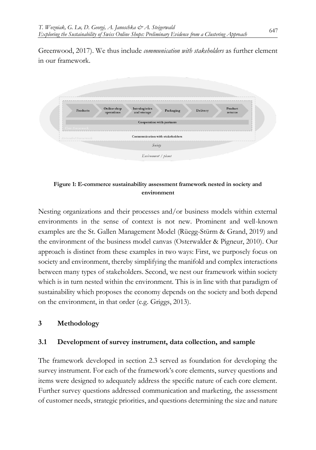Greenwood, 2017). We thus include *communication with stakeholders* as further element in our framework.



#### **Figure 1: E-commerce sustainability assessment framework nested in society and environment**

Nesting organizations and their processes and/or business models within external environments in the sense of context is not new. Prominent and well-known examples are the St. Gallen Management Model (Rüegg-Stürm & Grand, 2019) and the environment of the business model canvas (Osterwalder & Pigneur, 2010). Our approach is distinct from these examples in two ways: First, we purposely focus on society and environment, thereby simplifying the manifold and complex interactions between many types of stakeholders. Second, we nest our framework within society which is in turn nested within the environment. This is in line with that paradigm of sustainability which proposes the economy depends on the society and both depend on the environment, in that order (e.g. Griggs, 2013).

#### **3 Methodology**

#### **3.1 Development of survey instrument, data collection, and sample**

The framework developed in section 2.3 served as foundation for developing the survey instrument. For each of the framework's core elements, survey questions and items were designed to adequately address the specific nature of each core element. Further survey questions addressed communication and marketing, the assessment of customer needs, strategic priorities, and questions determining the size and nature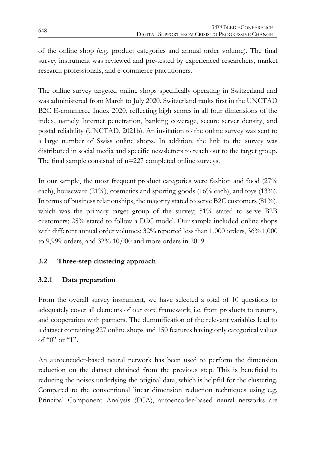of the online shop (e.g. product categories and annual order volume). The final survey instrument was reviewed and pre-tested by experienced researchers, market research professionals, and e-commerce practitioners.

The online survey targeted online shops specifically operating in Switzerland and was administered from March to July 2020. Switzerland ranks first in the UNCTAD B2C E-commerce Index 2020, reflecting high scores in all four dimensions of the index, namely Internet penetration, banking coverage, secure server density, and postal reliability (UNCTAD, 2021b). An invitation to the online survey was sent to a large number of Swiss online shops. In addition, the link to the survey was distributed in social media and specific newsletters to reach out to the target group. The final sample consisted of n=227 completed online surveys.

In our sample, the most frequent product categories were fashion and food (27% each), houseware (21%), cosmetics and sporting goods (16% each), and toys (13%). In terms of business relationships, the majority stated to serve B2C customers (81%), which was the primary target group of the survey; 51% stated to serve B2B customers; 25% stated to follow a D2C model. Our sample included online shops with different annual order volumes: 32% reported less than 1,000 orders, 36% 1,000 to 9,999 orders, and 32% 10,000 and more orders in 2019.

#### **3.2 Three-step clustering approach**

#### **3.2.1 Data preparation**

From the overall survey instrument, we have selected a total of 10 questions to adequately cover all elements of our core framework, i.e. from products to returns, and cooperation with partners. The dummification of the relevant variables lead to a dataset containing 227 online shops and 150 features having only categorical values of "0" or "1".

An autoencoder-based neural network has been used to perform the dimension reduction on the dataset obtained from the previous step. This is beneficial to reducing the noises underlying the original data, which is helpful for the clustering. Compared to the conventional linear dimension reduction techniques using e.g. Principal Component Analysis (PCA), autoencoder-based neural networks are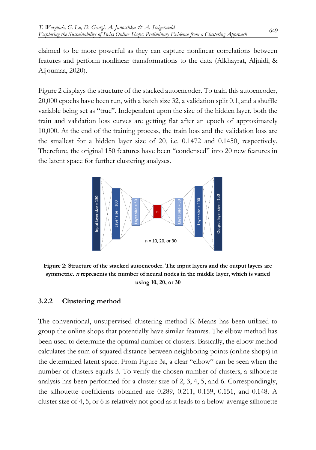claimed to be more powerful as they can capture nonlinear correlations between features and perform nonlinear transformations to the data (Alkhayrat, Aljnidi, & Aljoumaa, 2020).

Figure 2 displays the structure of the stacked autoencoder. To train this autoencoder, 20,000 epochs have been run, with a batch size 32, a validation split 0.1, and a shuffle variable being set as "true". Independent upon the size of the hidden layer, both the train and validation loss curves are getting flat after an epoch of approximately 10,000. At the end of the training process, the train loss and the validation loss are the smallest for a hidden layer size of 20, i.e. 0.1472 and 0.1450, respectively. Therefore, the original 150 features have been "condensed" into 20 new features in the latent space for further clustering analyses.



**Figure 2: Structure of the stacked autoencoder. The input layers and the output layers are symmetric. <sup>n</sup> represents the number of neural nodes in the middle layer, which is varied using 10, 20, or 30**

#### **3.2.2 Clustering method**

The conventional, unsupervised clustering method K-Means has been utilized to group the online shops that potentially have similar features. The elbow method has been used to determine the optimal number of clusters. Basically, the elbow method calculates the sum of squared distance between neighboring points (online shops) in the determined latent space. From Figure 3a, a clear "elbow" can be seen when the number of clusters equals 3. To verify the chosen number of clusters, a silhouette analysis has been performed for a cluster size of 2, 3, 4, 5, and 6. Correspondingly, the silhouette coefficients obtained are 0.289, 0.211, 0.159, 0.151, and 0.148. A cluster size of 4, 5, or 6 is relatively not good as it leads to a below-average silhouette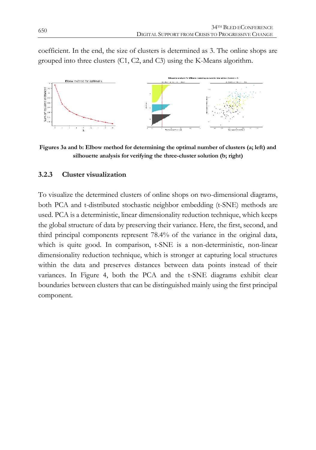coefficient. In the end, the size of clusters is determined as 3. The online shops are grouped into three clusters (C1, C2, and C3) using the K-Means algorithm.



**Figures 3a and b: Elbow method for determining the optimal number of clusters (a; left) and silhouette analysis for verifying the three-cluster solution (b; right)**

#### **3.2.3 Cluster visualization**

To visualize the determined clusters of online shops on two-dimensional diagrams, both PCA and t-distributed stochastic neighbor embedding (t-SNE) methods are used. PCA is a deterministic, linear dimensionality reduction technique, which keeps the global structure of data by preserving their variance. Here, [the first, second, and](https://en.wikipedia.org/wiki/T-distributed_stochastic_neighbor_embedding)  [third principal components represent 78.4% of the variance in the original data,](https://en.wikipedia.org/wiki/T-distributed_stochastic_neighbor_embedding)  [which is quite good.](https://en.wikipedia.org/wiki/T-distributed_stochastic_neighbor_embedding) In comparison, t-SNE is a non-deterministic, non-linear dimensionality reduction technique, which is stronger at capturing local structures within the data and preserves distances between data points instead of their variances. In Figure 4, both the PCA and the t-SNE diagrams exhibit clear boundaries between clusters that can be distinguished mainly using the first principal component.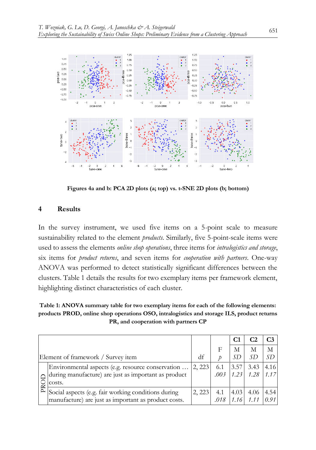

**Figures 4a and b: PCA 2D plots (a; top) vs. t-SNE 2D plots (b; bottom)**

#### **4 Results**

In the survey instrument, we used five items on a 5-point scale to measure sustainability related to the element *products*. Similarly, five 5-point-scale items were used to assess the elements *online shop operations*, three items for *intralogistics and storage*, six items for *product returns*, and seven items for *cooperation with partners*. One-way ANOVA was performed to detect statistically significant differences between the clusters. Table 1 details the results for two exemplary items per framework element, highlighting distinct characteristics of each cluster.

**Table 1: ANOVA summary table for two exemplary items for each of the following elements: products PROD, online shop operations OSO, intralogistics and storage ILS, product returns PR, and cooperation with partners CP**

|                                    |                                                                                                                     |        |             | C1           |                        |      |
|------------------------------------|---------------------------------------------------------------------------------------------------------------------|--------|-------------|--------------|------------------------|------|
|                                    |                                                                                                                     |        |             | М            | Μ                      | M    |
| Element of framework / Survey item |                                                                                                                     | df     |             | .SD          | SD                     | SD.  |
|                                    | Environmental aspects (e.g. resource conservation<br>during manufacture) are just as important as product<br>costs. | 2, 223 | 6.1<br>.003 | 3.57<br>1.23 | 3.43<br>$1.28$ 1.17    | 4.16 |
|                                    | Social aspects (e.g. fair working conditions during<br>manufacture) are just as important as product costs.         | 2, 223 | 4.1<br>.018 | 1.16         | 4.03 4.06 4.54<br>1.11 | 0.91 |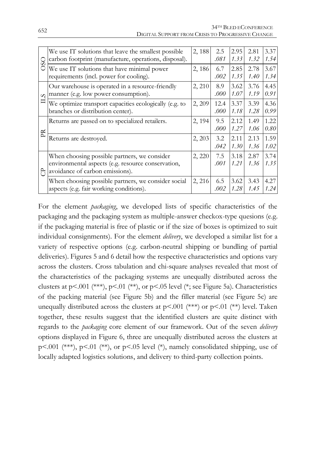| SO<br>$\circ$ | We use IT solutions that leave the smallest possible<br>carbon footprint (manufacture, operations, disposal).                         | 2,188  | 2.5<br>.081  | 2.95<br>1.33 | 2.81<br>1.32 | 3.37<br>1.54 |
|---------------|---------------------------------------------------------------------------------------------------------------------------------------|--------|--------------|--------------|--------------|--------------|
|               | We use IT solutions that have minimal power<br>requirements (incl. power for cooling).                                                | 2,186  | 6.7<br>.002  | 2.85<br>1.35 | 2.78<br>1.40 | 3.67<br>1.34 |
| $\infty$<br>白 | Our warehouse is operated in a resource-friendly<br>manner (e.g. low power consumption).                                              | 2, 210 | 8.9<br>.000  | 3.62<br>1.07 | 3.76<br>1.19 | 4.45<br>0.91 |
|               | We optimize transport capacities ecologically (e.g. to<br>branches or distribution center).                                           | 2, 209 | 12.4<br>.000 | 3.37<br>1.18 | 3.39<br>1.28 | 4.36<br>0.99 |
| PR            | Returns are passed on to specialized retailers.                                                                                       | 2, 194 | 9.5<br>.000  | 2.12<br>1.27 | 1.49<br>1.06 | 1.22<br>0.80 |
|               | Returns are destroyed.                                                                                                                | 2, 203 | 3.2<br>.042  | 2.11<br>1.30 | 2.13<br>1.36 | 1.59<br>1.02 |
| ි             | When choosing possible partners, we consider<br>environmental aspects (e.g. resource conservation,<br>avoidance of carbon emissions). | 2, 220 | 7.5<br>.001  | 3.18<br>1.21 | 2.87<br>1.36 | 3.74<br>1.35 |
|               | When choosing possible partners, we consider social<br>aspects (e.g. fair working conditions).                                        | 2, 216 | 6.5<br>.002  | 3.62<br>1.28 | 3.43<br>1.45 | 4.27<br>1.24 |

For the element *packaging*, we developed lists of specific characteristics of the packaging and the packaging system as multiple-answer checkox-type quesions (e.g. if the packaging material is free of plastic or if the size of boxes is optimized to suit individual consignments). For the element *delivery*, we developed a similar list for a variety of respective options (e.g. carbon-neutral shipping or bundling of partial deliveries). Figures 5 and 6 detail how the respective characteristics and options vary across the clusters. Cross tabulation and chi-square analyses revealed that most of the characteristics of the packaging systems are unequally distributed across the clusters at  $p<.001$  (\*\*\*),  $p<.01$  (\*\*), or  $p<.05$  level (\*; see Figure 5a). Characteristics of the packing material (see Figure 5b) and the filler material (see Figure 5c) are unequally distributed across the clusters at  $p<.001$  (\*\*) or  $p<.01$  (\*\*) level. Taken together, these results suggest that the identified clusters are quite distinct with regards to the *packaging* core element of our framework. Out of the seven *delivery* options displayed in Figure 6, three are unequally distributed across the clusters at p<.001 (\*\*\*), p<.01 (\*\*), or p<.05 level (\*), namely consolidated shipping, use of locally adapted logistics solutions, and delivery to third-party collection points.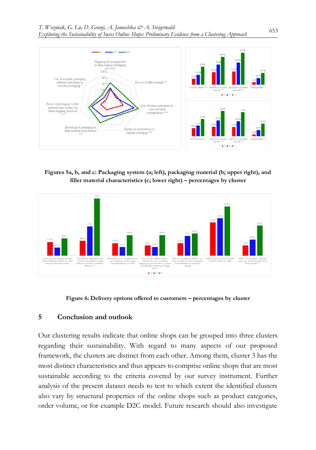

**Figures 5a, b, and c: Packaging system (a; left), packaging material (b; upper right), and filler material characteristics (c; lower right) – percentages by cluster**



**Figure 6: Delivery options offered to customers – percentages by cluster**

#### **5 Conclusion and outlook**

Our clustering results indicate that online shops can be grouped into three clusters regarding their sustainability. With regard to many aspects of our proposed framework, the clusters are distinct from each other. Among them, cluster 3 has the most distinct characteristics and thus appears to comprise online shops that are most sustainable according to the criteria covered by our survey instrument. Further analysis of the present dataset needs to test to which extent the identified clusters also vary by structural properties of the online shops such as product categories, order volume, or for example D2C model. Future research should also investigate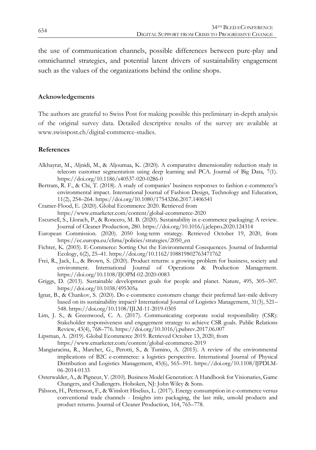the use of communication channels, possible differences between pure-play and omnichannel strategies, and potential latent drivers of sustainability engagement such as the values of the organizations behind the online shops.

#### **Acknowledgements**

The authors are grateful to Swiss Post for making possible this preliminary in-depth analysis of the original survey data. Detailed descriptive results of the survey are available at www.swisspost.ch/digital-commerce-studies.

#### **References**

- Alkhayrat, M., Aljnidi, M., & Aljoumaa, K. (2020). A comparative dimensionality reduction study in telecom customer segmentation using deep learning and PCA. Journal of Big Data, 7(1). https://doi.org/10.1186/s40537-020-0286-0
- Bertram, R. F., & Chi, T. (2018). A study of companies' business responses to fashion e-commerce's environmental impact. International Journal of Fashion Design, Technology and Education, 11(2), 254–264. https://doi.org/10.1080/17543266.2017.1406541
- Cramer-Flood, E. (2020). Global Ecommerce 2020. Retrieved from https://www.emarketer.com/content/global-ecommerce-2020
- Escursell, S., Llorach, P., & Roncero, M. B. (2020). Sustainability in e-commerce packaging: A review. Journal of Cleaner Production, 280. https://doi.org/10.1016/j.jclepro.2020.124314
- European Commission. (2020). 2050 long-term strategy. Retrieved October 19, 2020, from https://ec.europa.eu/clima/policies/strategies/2050\_en
- Fichter, K. (2003). E-Commerce: Sorting Out the Environmental Cosequences. Journal of Industrial Ecology, 6(2), 25–41. https://doi.org/10.1162/108819802763471762
- Frei, R., Jack, L., & Brown, S. (2020). Product returns: a growing problem for business, society and environment. International Journal of Operations & Production Management. https://doi.org/10.1108/IJOPM-02-2020-0083
- Griggs, D. (2013). Sustainable developmnet goals for people and planet. Nature, 495, 305–307. https://doi.org/10.1038/495305a
- Ignat, B., & Chankov, S. (2020). Do e-commerce customers change their preferred last-mile delivery based on its sustainability impact? International Journal of Logistics Management, 31(3), 521– 548. https://doi.org/10.1108/IJLM-11-2019-0305
- Lim, J. S., & Greenwood, C. A. (2017). Communicating corporate social responsibility (CSR): Stakeholder responsiveness and engagement strategy to achieve CSR goals. Public Relations Review, 43(4), 768–776. https://doi.org/10.1016/j.pubrev.2017.06.007
- Lipsman, A. (2019). Global Ecommerce 2019. Retrieved October 13, 2020, from https://www.emarketer.com/content/global-ecommerce-2019
- Mangiaracina, R., Marchet, G., Perotti, S., & Tumino, A. (2015). A review of the environmental implications of B2C e-commerce: a logistics perspective. International Journal of Physical Distribution and Logistics Management, 45(6), 565–591. https://doi.org/10.1108/IJPDLM-06-2014-0133
- Osterwalder, A., & Pigneur, Y. (2010). Business Model Generation: A Handbook for Visionaries, Game Changers, and Challengers. Hoboken, NJ: John Wiley & Sons.
- Pålsson, H., Pettersson, F., & Winslott Hiselius, L. (2017). Energy consumption in e-commerce versus conventional trade channels - Insights into packaging, the last mile, unsold products and product returns. Journal of Cleaner Production, 164, 765–778.